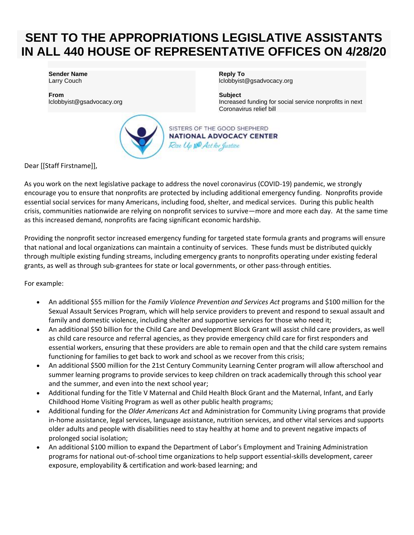## **SENT TO THE APPROPRIATIONS LEGISLATIVE ASSISTANTS IN ALL 440 HOUSE OF REPRESENTATIVE OFFICES ON 4/28/20**

**Sender Name** Larry Couch

**From** lclobbyist@gsadvocacy.org



**Reply To** lclobbyist@gsadvocacy.org

**Subject** Increased funding for social service nonprofits in next Coronavirus relief bill

SISTERS OF THE GOOD SHEPHERD **NATIONAL ADVOCACY CENTER** Rise Up AND Act for Justice

Dear [[Staff Firstname]],

As you work on the next legislative package to address the novel coronavirus (COVID-19) pandemic, we strongly encourage you to ensure that nonprofits are protected by including additional emergency funding. Nonprofits provide essential social services for many Americans, including food, shelter, and medical services. During this public health crisis, communities nationwide are relying on nonprofit services to survive—more and more each day. At the same time as this increased demand, nonprofits are facing significant economic hardship.

Providing the nonprofit sector increased emergency funding for targeted state formula grants and programs will ensure that national and local organizations can maintain a continuity of services. These funds must be distributed quickly through multiple existing funding streams, including emergency grants to nonprofits operating under existing federal grants, as well as through sub-grantees for state or local governments, or other pass-through entities.

For example:

- An additional \$55 million for the *Family Violence Prevention and Services Act* programs and \$100 million for the Sexual Assault Services Program*,* which will help service providers to prevent and respond to sexual assault and family and domestic violence, including shelter and supportive services for those who need it;
- An additional \$50 billion for the Child Care and Development Block Grant will assist child care providers, as well as child care resource and referral agencies, as they provide emergency child care for first responders and essential workers, ensuring that these providers are able to remain open and that the child care system remains functioning for families to get back to work and school as we recover from this crisis;
- An additional \$500 million for the 21st Century Community Learning Center program will allow afterschool and summer learning programs to provide services to keep children on track academically through this school year and the summer, and even into the next school year;
- Additional funding for the Title V Maternal and Child Health Block Grant and the Maternal, Infant, and Early Childhood Home Visiting Program as well as other public health programs;
- Additional funding for the *Older Americans Act* and Administration for Community Living programs that provide in-home assistance, legal services, language assistance, nutrition services, and other vital services and supports older adults and people with disabilities need to stay healthy at home and to prevent negative impacts of prolonged social isolation;
- An additional \$100 million to expand the Department of Labor's Employment and Training Administration programs for national out-of-school time organizations to help support essential-skills development, career exposure, employability & certification and work-based learning; and